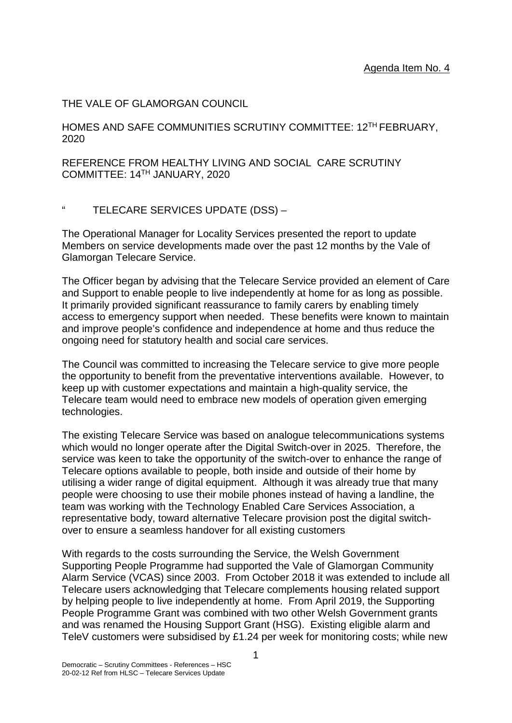# THE VALE OF GLAMORGAN COUNCIL

HOMES AND SAFE COMMUNITIES SCRUTINY COMMITTEE: 12TH FEBRUARY, 2020

REFERENCE FROM HEALTHY LIVING AND SOCIAL CARE SCRUTINY COMMITTEE: 14TH JANUARY, 2020

## " TELECARE SERVICES UPDATE (DSS) –

The Operational Manager for Locality Services presented the report to update Members on service developments made over the past 12 months by the Vale of Glamorgan Telecare Service.

The Officer began by advising that the Telecare Service provided an element of Care and Support to enable people to live independently at home for as long as possible. It primarily provided significant reassurance to family carers by enabling timely access to emergency support when needed. These benefits were known to maintain and improve people's confidence and independence at home and thus reduce the ongoing need for statutory health and social care services.

The Council was committed to increasing the Telecare service to give more people the opportunity to benefit from the preventative interventions available. However, to keep up with customer expectations and maintain a high-quality service, the Telecare team would need to embrace new models of operation given emerging technologies.

The existing Telecare Service was based on analogue telecommunications systems which would no longer operate after the Digital Switch-over in 2025. Therefore, the service was keen to take the opportunity of the switch-over to enhance the range of Telecare options available to people, both inside and outside of their home by utilising a wider range of digital equipment. Although it was already true that many people were choosing to use their mobile phones instead of having a landline, the team was working with the Technology Enabled Care Services Association, a representative body, toward alternative Telecare provision post the digital switchover to ensure a seamless handover for all existing customers

With regards to the costs surrounding the Service, the Welsh Government Supporting People Programme had supported the Vale of Glamorgan Community Alarm Service (VCAS) since 2003. From October 2018 it was extended to include all Telecare users acknowledging that Telecare complements housing related support by helping people to live independently at home. From April 2019, the Supporting People Programme Grant was combined with two other Welsh Government grants and was renamed the Housing Support Grant (HSG). Existing eligible alarm and TeleV customers were subsidised by £1.24 per week for monitoring costs; while new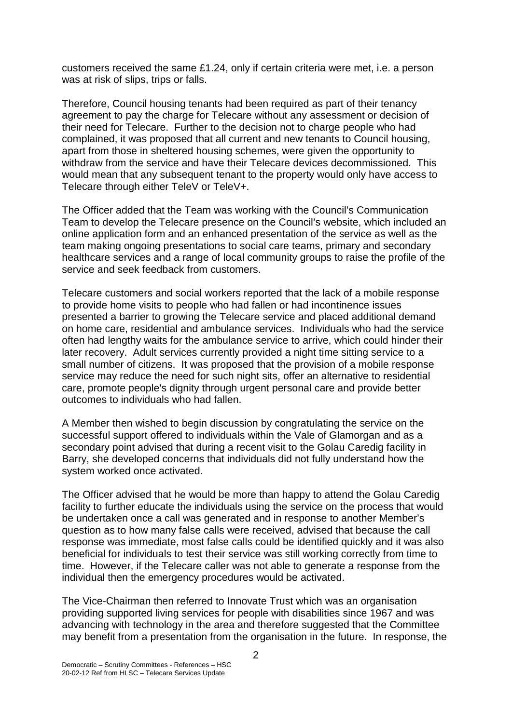customers received the same £1.24, only if certain criteria were met, i.e. a person was at risk of slips, trips or falls.

Therefore, Council housing tenants had been required as part of their tenancy agreement to pay the charge for Telecare without any assessment or decision of their need for Telecare. Further to the decision not to charge people who had complained, it was proposed that all current and new tenants to Council housing, apart from those in sheltered housing schemes, were given the opportunity to withdraw from the service and have their Telecare devices decommissioned. This would mean that any subsequent tenant to the property would only have access to Telecare through either TeleV or TeleV+.

The Officer added that the Team was working with the Council's Communication Team to develop the Telecare presence on the Council's website, which included an online application form and an enhanced presentation of the service as well as the team making ongoing presentations to social care teams, primary and secondary healthcare services and a range of local community groups to raise the profile of the service and seek feedback from customers.

Telecare customers and social workers reported that the lack of a mobile response to provide home visits to people who had fallen or had incontinence issues presented a barrier to growing the Telecare service and placed additional demand on home care, residential and ambulance services. Individuals who had the service often had lengthy waits for the ambulance service to arrive, which could hinder their later recovery. Adult services currently provided a night time sitting service to a small number of citizens. It was proposed that the provision of a mobile response service may reduce the need for such night sits, offer an alternative to residential care, promote people's dignity through urgent personal care and provide better outcomes to individuals who had fallen.

A Member then wished to begin discussion by congratulating the service on the successful support offered to individuals within the Vale of Glamorgan and as a secondary point advised that during a recent visit to the Golau Caredig facility in Barry, she developed concerns that individuals did not fully understand how the system worked once activated.

The Officer advised that he would be more than happy to attend the Golau Caredig facility to further educate the individuals using the service on the process that would be undertaken once a call was generated and in response to another Member's question as to how many false calls were received, advised that because the call response was immediate, most false calls could be identified quickly and it was also beneficial for individuals to test their service was still working correctly from time to time. However, if the Telecare caller was not able to generate a response from the individual then the emergency procedures would be activated.

The Vice-Chairman then referred to Innovate Trust which was an organisation providing supported living services for people with disabilities since 1967 and was advancing with technology in the area and therefore suggested that the Committee may benefit from a presentation from the organisation in the future. In response, the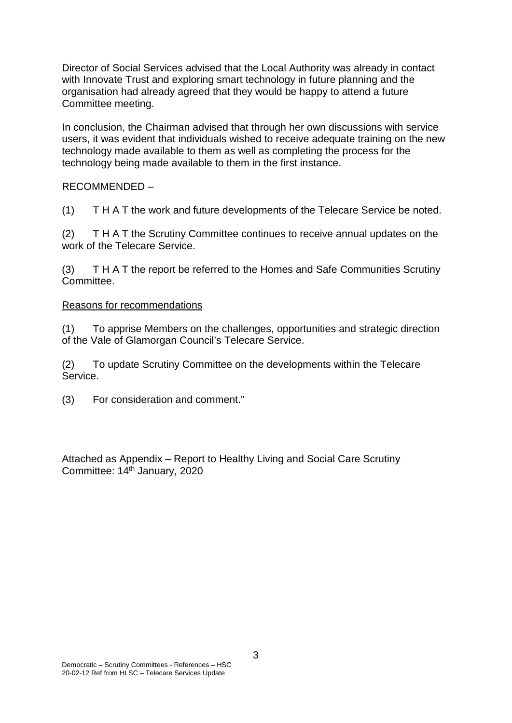Director of Social Services advised that the Local Authority was already in contact with Innovate Trust and exploring smart technology in future planning and the organisation had already agreed that they would be happy to attend a future Committee meeting.

In conclusion, the Chairman advised that through her own discussions with service users, it was evident that individuals wished to receive adequate training on the new technology made available to them as well as completing the process for the technology being made available to them in the first instance.

### RECOMMENDED –

(1) T H A T the work and future developments of the Telecare Service be noted.

(2) T H A T the Scrutiny Committee continues to receive annual updates on the work of the Telecare Service.

(3) T H A T the report be referred to the Homes and Safe Communities Scrutiny Committee.

### Reasons for recommendations

(1) To apprise Members on the challenges, opportunities and strategic direction of the Vale of Glamorgan Council's Telecare Service.

(2) To update Scrutiny Committee on the developments within the Telecare Service.

(3) For consideration and comment."

Attached as Appendix – Report to Healthy Living and Social Care Scrutiny Committee: 14<sup>th</sup> January, 2020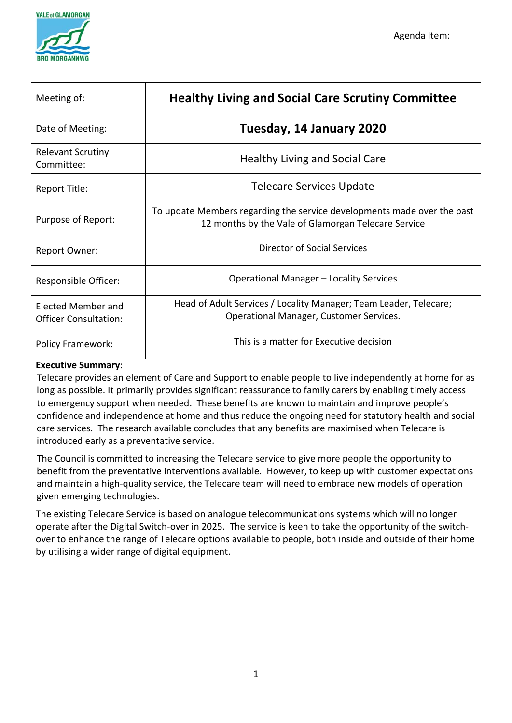

| Meeting of:                                        | <b>Healthy Living and Social Care Scrutiny Committee</b>                                                                       |  |  |  |  |
|----------------------------------------------------|--------------------------------------------------------------------------------------------------------------------------------|--|--|--|--|
| Date of Meeting:                                   | Tuesday, 14 January 2020                                                                                                       |  |  |  |  |
| <b>Relevant Scrutiny</b><br>Committee:             | Healthy Living and Social Care                                                                                                 |  |  |  |  |
| Report Title:                                      | <b>Telecare Services Update</b>                                                                                                |  |  |  |  |
| Purpose of Report:                                 | To update Members regarding the service developments made over the past<br>12 months by the Vale of Glamorgan Telecare Service |  |  |  |  |
| Report Owner:                                      | <b>Director of Social Services</b>                                                                                             |  |  |  |  |
| Responsible Officer:                               | Operational Manager - Locality Services                                                                                        |  |  |  |  |
| Elected Member and<br><b>Officer Consultation:</b> | Head of Adult Services / Locality Manager; Team Leader, Telecare;<br>Operational Manager, Customer Services.                   |  |  |  |  |
| <b>Policy Framework:</b>                           | This is a matter for Executive decision                                                                                        |  |  |  |  |

# **Executive Summary**:

Telecare provides an element of Care and Support to enable people to live independently at home for as long as possible. It primarily provides significant reassurance to family carers by enabling timely access to emergency support when needed. These benefits are known to maintain and improve people's confidence and independence at home and thus reduce the ongoing need for statutory health and social care services. The research available concludes that any benefits are maximised when Telecare is introduced early as a preventative service.

The Council is committed to increasing the Telecare service to give more people the opportunity to benefit from the preventative interventions available. However, to keep up with customer expectations and maintain a high-quality service, the Telecare team will need to embrace new models of operation given emerging technologies.

The existing Telecare Service is based on analogue telecommunications systems which will no longer operate after the Digital Switch-over in 2025. The service is keen to take the opportunity of the switchover to enhance the range of Telecare options available to people, both inside and outside of their home by utilising a wider range of digital equipment.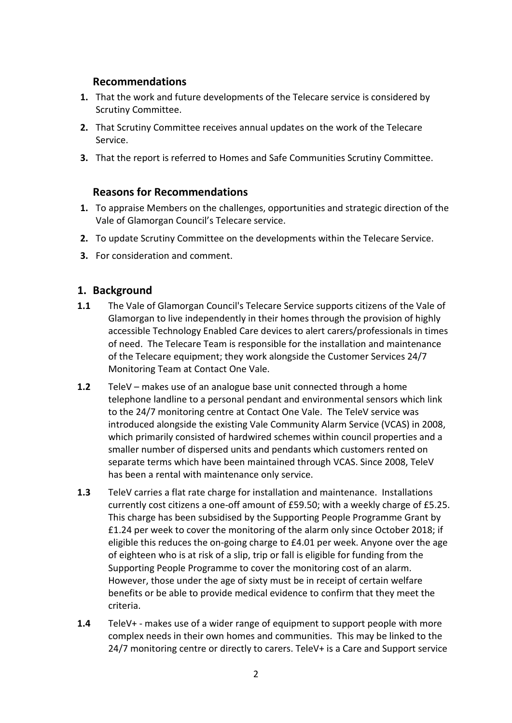## **Recommendations**

- **1.** That the work and future developments of the Telecare service is considered by Scrutiny Committee.
- **2.** That Scrutiny Committee receives annual updates on the work of the Telecare Service.
- **3.** That the report is referred to Homes and Safe Communities Scrutiny Committee.

## **Reasons for Recommendations**

- **1.** To appraise Members on the challenges, opportunities and strategic direction of the Vale of Glamorgan Council's Telecare service.
- **2.** To update Scrutiny Committee on the developments within the Telecare Service.
- **3.** For consideration and comment.

## **1. Background**

- **1.1** The Vale of Glamorgan Council's Telecare Service supports citizens of the Vale of Glamorgan to live independently in their homes through the provision of highly accessible Technology Enabled Care devices to alert carers/professionals in times of need. The Telecare Team is responsible for the installation and maintenance of the Telecare equipment; they work alongside the Customer Services 24/7 Monitoring Team at Contact One Vale.
- **1.2** TeleV makes use of an analogue base unit connected through a home telephone landline to a personal pendant and environmental sensors which link to the 24/7 monitoring centre at Contact One Vale. The TeleV service was introduced alongside the existing Vale Community Alarm Service (VCAS) in 2008, which primarily consisted of hardwired schemes within council properties and a smaller number of dispersed units and pendants which customers rented on separate terms which have been maintained through VCAS. Since 2008, TeleV has been a rental with maintenance only service.
- **1.3** TeleV carries a flat rate charge for installation and maintenance. Installations currently cost citizens a one-off amount of £59.50; with a weekly charge of £5.25. This charge has been subsidised by the Supporting People Programme Grant by £1.24 per week to cover the monitoring of the alarm only since October 2018; if eligible this reduces the on-going charge to £4.01 per week. Anyone over the age of eighteen who is at risk of a slip, trip or fall is eligible for funding from the Supporting People Programme to cover the monitoring cost of an alarm. However, those under the age of sixty must be in receipt of certain welfare benefits or be able to provide medical evidence to confirm that they meet the criteria.
- **1.4** TeleV+ makes use of a wider range of equipment to support people with more complex needs in their own homes and communities. This may be linked to the 24/7 monitoring centre or directly to carers. TeleV+ is a Care and Support service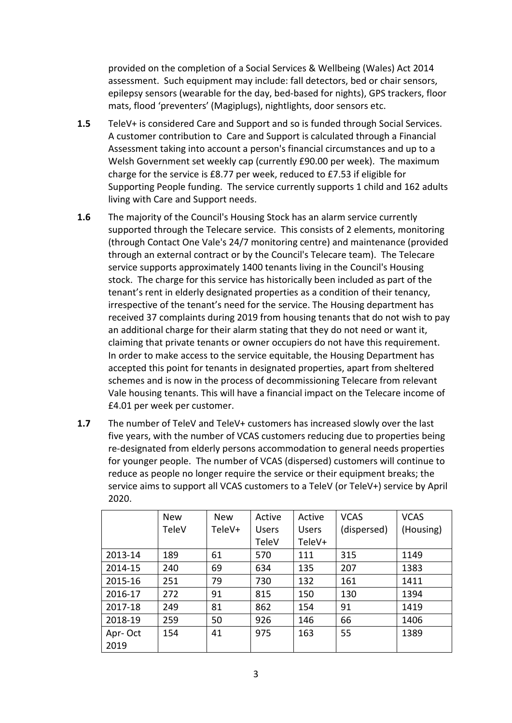provided on the completion of a Social Services & Wellbeing (Wales) Act 2014 assessment. Such equipment may include: fall detectors, bed or chair sensors, epilepsy sensors (wearable for the day, bed-based for nights), GPS trackers, floor mats, flood 'preventers' (Magiplugs), nightlights, door sensors etc.

- **1.5** TeleV+ is considered Care and Support and so is funded through Social Services. A customer contribution to Care and Support is calculated through a Financial Assessment taking into account a person's financial circumstances and up to a Welsh Government set weekly cap (currently £90.00 per week). The maximum charge for the service is £8.77 per week, reduced to £7.53 if eligible for Supporting People funding. The service currently supports 1 child and 162 adults living with Care and Support needs.
- **1.6** The majority of the Council's Housing Stock has an alarm service currently supported through the Telecare service. This consists of 2 elements, monitoring (through Contact One Vale's 24/7 monitoring centre) and maintenance (provided through an external contract or by the Council's Telecare team). The Telecare service supports approximately 1400 tenants living in the Council's Housing stock. The charge for this service has historically been included as part of the tenant's rent in elderly designated properties as a condition of their tenancy, irrespective of the tenant's need for the service. The Housing department has received 37 complaints during 2019 from housing tenants that do not wish to pay an additional charge for their alarm stating that they do not need or want it, claiming that private tenants or owner occupiers do not have this requirement. In order to make access to the service equitable, the Housing Department has accepted this point for tenants in designated properties, apart from sheltered schemes and is now in the process of decommissioning Telecare from relevant Vale housing tenants. This will have a financial impact on the Telecare income of £4.01 per week per customer.
- **1.7** The number of TeleV and TeleV+ customers has increased slowly over the last five years, with the number of VCAS customers reducing due to properties being re-designated from elderly persons accommodation to general needs properties for younger people. The number of VCAS (dispersed) customers will continue to reduce as people no longer require the service or their equipment breaks; the service aims to support all VCAS customers to a TeleV (or TeleV+) service by April 2020.

|         | <b>New</b> | <b>New</b> | Active       | Active       | <b>VCAS</b> | <b>VCAS</b> |
|---------|------------|------------|--------------|--------------|-------------|-------------|
|         | TeleV      | TeleV+     | <b>Users</b> | <b>Users</b> | (dispersed) | (Housing)   |
|         |            |            | TeleV        | TeleV+       |             |             |
| 2013-14 | 189        | 61         | 570          | 111          | 315         | 1149        |
| 2014-15 | 240        | 69         | 634          | 135          | 207         | 1383        |
| 2015-16 | 251        | 79         | 730          | 132          | 161         | 1411        |
| 2016-17 | 272        | 91         | 815          | 150          | 130         | 1394        |
| 2017-18 | 249        | 81         | 862          | 154          | 91          | 1419        |
| 2018-19 | 259        | 50         | 926          | 146          | 66          | 1406        |
| Apr-Oct | 154        | 41         | 975          | 163          | 55          | 1389        |
| 2019    |            |            |              |              |             |             |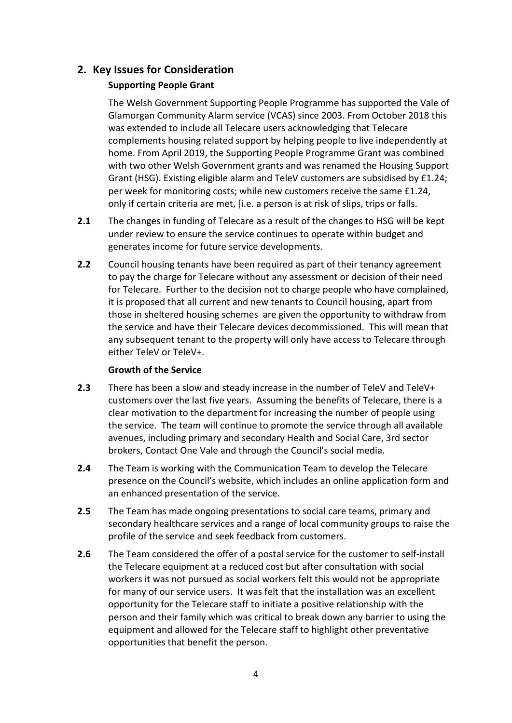# **2. Key Issues for Consideration**

# **Supporting People Grant**

The Welsh Government Supporting People Programme has supported the Vale of Glamorgan Community Alarm service (VCAS) since 2003. From October 2018 this was extended to include all Telecare users acknowledging that Telecare complements housing related support by helping people to live independently at home. From April 2019, the Supporting People Programme Grant was combined with two other Welsh Government grants and was renamed the Housing Support Grant (HSG). Existing eligible alarm and TeleV customers are subsidised by £1.24; per week for monitoring costs; while new customers receive the same £1.24, only if certain criteria are met, [i.e. a person is at risk of slips, trips or falls.

- **2.1** The changes in funding of Telecare as a result of the changes to HSG will be kept under review to ensure the service continues to operate within budget and generates income for future service developments.
- **2.2** Council housing tenants have been required as part of their tenancy agreement to pay the charge for Telecare without any assessment or decision of their need for Telecare. Further to the decision not to charge people who have complained, it is proposed that all current and new tenants to Council housing, apart from those in sheltered housing schemes are given the opportunity to withdraw from the service and have their Telecare devices decommissioned. This will mean that any subsequent tenant to the property will only have access to Telecare through either TeleV or TeleV+.

### **Growth of the Service**

- **2.3** There has been a slow and steady increase in the number of TeleV and TeleV+ customers over the last five years. Assuming the benefits of Telecare, there is a clear motivation to the department for increasing the number of people using the service. The team will continue to promote the service through all available avenues, including primary and secondary Health and Social Care, 3rd sector brokers, Contact One Vale and through the Council's social media.
- **2.4** The Team is working with the Communication Team to develop the Telecare presence on the Council's website, which includes an online application form and an enhanced presentation of the service.
- **2.5** The Team has made ongoing presentations to social care teams, primary and secondary healthcare services and a range of local community groups to raise the profile of the service and seek feedback from customers.
- **2.6** The Team considered the offer of a postal service for the customer to self-install the Telecare equipment at a reduced cost but after consultation with social workers it was not pursued as social workers felt this would not be appropriate for many of our service users. It was felt that the installation was an excellent opportunity for the Telecare staff to initiate a positive relationship with the person and their family which was critical to break down any barrier to using the equipment and allowed for the Telecare staff to highlight other preventative opportunities that benefit the person.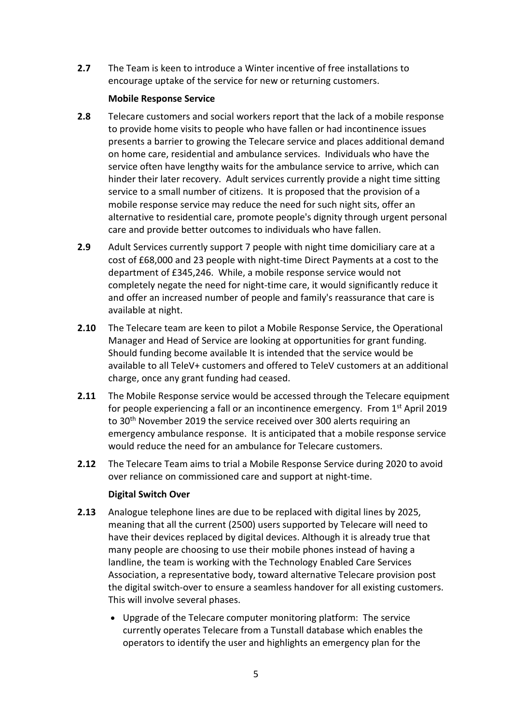**2.7** The Team is keen to introduce a Winter incentive of free installations to encourage uptake of the service for new or returning customers.

### **Mobile Response Service**

- **2.8** Telecare customers and social workers report that the lack of a mobile response to provide home visits to people who have fallen or had incontinence issues presents a barrier to growing the Telecare service and places additional demand on home care, residential and ambulance services. Individuals who have the service often have lengthy waits for the ambulance service to arrive, which can hinder their later recovery. Adult services currently provide a night time sitting service to a small number of citizens. It is proposed that the provision of a mobile response service may reduce the need for such night sits, offer an alternative to residential care, promote people's dignity through urgent personal care and provide better outcomes to individuals who have fallen.
- **2.9** Adult Services currently support 7 people with night time domiciliary care at a cost of £68,000 and 23 people with night-time Direct Payments at a cost to the department of £345,246. While, a mobile response service would not completely negate the need for night-time care, it would significantly reduce it and offer an increased number of people and family's reassurance that care is available at night.
- **2.10** The Telecare team are keen to pilot a Mobile Response Service, the Operational Manager and Head of Service are looking at opportunities for grant funding. Should funding become available It is intended that the service would be available to all TeleV+ customers and offered to TeleV customers at an additional charge, once any grant funding had ceased.
- **2.11** The Mobile Response service would be accessed through the Telecare equipment for people experiencing a fall or an incontinence emergency. From  $1<sup>st</sup>$  April 2019 to 30<sup>th</sup> November 2019 the service received over 300 alerts requiring an emergency ambulance response. It is anticipated that a mobile response service would reduce the need for an ambulance for Telecare customers.
- **2.12** The Telecare Team aims to trial a Mobile Response Service during 2020 to avoid over reliance on commissioned care and support at night-time.

### **Digital Switch Over**

- **2.13** Analogue telephone lines are due to be replaced with digital lines by 2025, meaning that all the current (2500) users supported by Telecare will need to have their devices replaced by digital devices. Although it is already true that many people are choosing to use their mobile phones instead of having a landline, the team is working with the Technology Enabled Care Services Association, a representative body, toward alternative Telecare provision post the digital switch-over to ensure a seamless handover for all existing customers. This will involve several phases.
	- Upgrade of the Telecare computer monitoring platform: The service currently operates Telecare from a Tunstall database which enables the operators to identify the user and highlights an emergency plan for the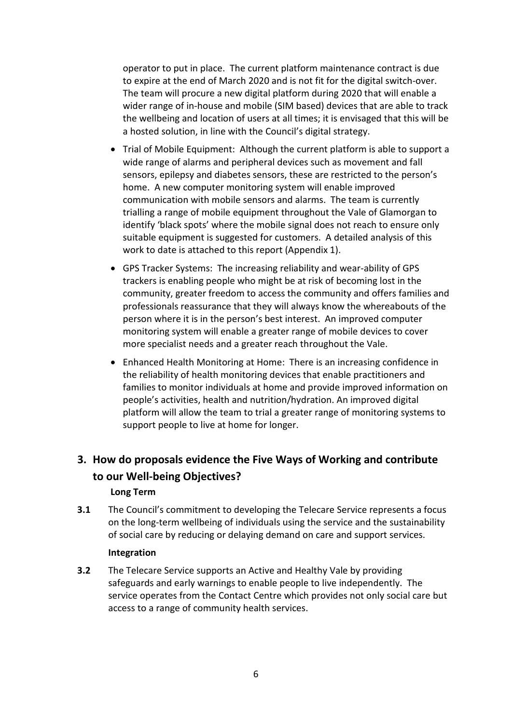operator to put in place. The current platform maintenance contract is due to expire at the end of March 2020 and is not fit for the digital switch-over. The team will procure a new digital platform during 2020 that will enable a wider range of in-house and mobile (SIM based) devices that are able to track the wellbeing and location of users at all times; it is envisaged that this will be a hosted solution, in line with the Council's digital strategy.

- Trial of Mobile Equipment: Although the current platform is able to support a wide range of alarms and peripheral devices such as movement and fall sensors, epilepsy and diabetes sensors, these are restricted to the person's home. A new computer monitoring system will enable improved communication with mobile sensors and alarms. The team is currently trialling a range of mobile equipment throughout the Vale of Glamorgan to identify 'black spots' where the mobile signal does not reach to ensure only suitable equipment is suggested for customers. A detailed analysis of this work to date is attached to this report (Appendix 1).
- GPS Tracker Systems: The increasing reliability and wear-ability of GPS trackers is enabling people who might be at risk of becoming lost in the community, greater freedom to access the community and offers families and professionals reassurance that they will always know the whereabouts of the person where it is in the person's best interest. An improved computer monitoring system will enable a greater range of mobile devices to cover more specialist needs and a greater reach throughout the Vale.
- Enhanced Health Monitoring at Home: There is an increasing confidence in the reliability of health monitoring devices that enable practitioners and families to monitor individuals at home and provide improved information on people's activities, health and nutrition/hydration. An improved digital platform will allow the team to trial a greater range of monitoring systems to support people to live at home for longer.

# **3. How do proposals evidence the Five Ways of Working and contribute to our Well-being Objectives?**

### **Long Term**

**3.1** The Council's commitment to developing the Telecare Service represents a focus on the long-term wellbeing of individuals using the service and the sustainability of social care by reducing or delaying demand on care and support services.

### **Integration**

**3.2** The Telecare Service supports an Active and Healthy Vale by providing safeguards and early warnings to enable people to live independently. The service operates from the Contact Centre which provides not only social care but access to a range of community health services.